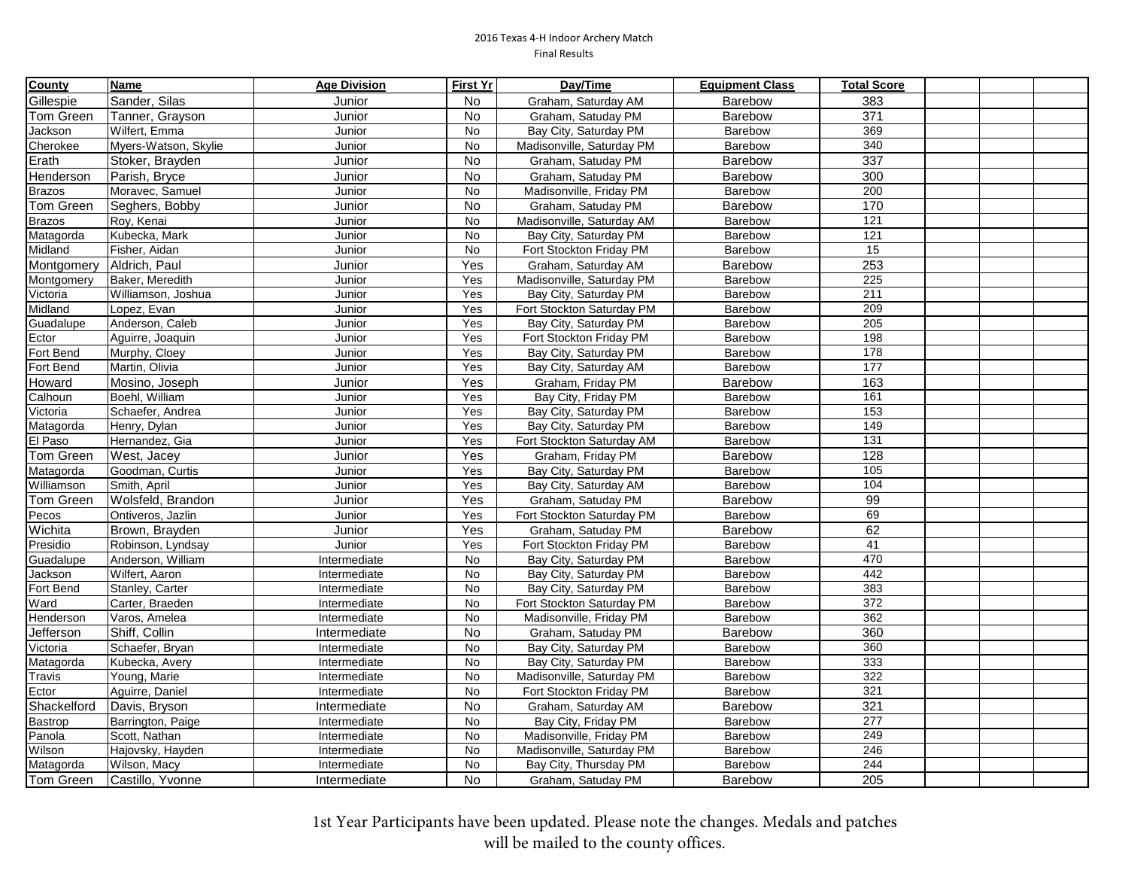| County           | <b>Name</b>          | <b>Age Division</b> | <b>First Yr</b> | Day/Time                  | <b>Equipment Class</b> | <b>Total Score</b> |  |  |
|------------------|----------------------|---------------------|-----------------|---------------------------|------------------------|--------------------|--|--|
| Gillespie        | Sander, Silas        | Junior              | No.             | Graham, Saturday AM       | Barebow                | 383                |  |  |
| Tom Green        | Tanner, Grayson      | Junior              | <b>No</b>       | Graham, Satuday PM        | Barebow                | 371                |  |  |
| Jackson          | Wilfert, Emma        | Junior              | <b>No</b>       | Bay City, Saturday PM     | Barebow                | 369                |  |  |
| Cherokee         | Myers-Watson, Skylie | Junior              | <b>No</b>       | Madisonville, Saturday PM | Barebow                | 340                |  |  |
| Erath            | Stoker, Brayden      | Junior              | <b>No</b>       | Graham, Satuday PM        | <b>Barebow</b>         | 337                |  |  |
| Henderson        | Parish, Bryce        | Junior              | No              | Graham, Satuday PM        | Barebow                | 300                |  |  |
| Brazos           | Moravec, Samuel      | Junior              | No              | Madisonville, Friday PM   | Barebow                | 200                |  |  |
| Tom Green        | Seghers, Bobby       | Junior              | No              | Graham, Satuday PM        | Barebow                | 170                |  |  |
| <b>Brazos</b>    | Roy, Kenai           | Junior              | No              | Madisonville, Saturday AM | Barebow                | $\overline{121}$   |  |  |
| Matagorda        | Kubecka, Mark        | Junior              | No              | Bay City, Saturday PM     | Barebow                | $\overline{121}$   |  |  |
| Midland          | Fisher, Aidan        | Junior              | No              | Fort Stockton Friday PM   | Barebow                | 15                 |  |  |
| Montgomery       | Aldrich, Paul        | Junior              | Yes             | Graham, Saturday AM       | Barebow                | 253                |  |  |
| Montgomery       | Baker, Meredith      | Junior              | Yes             | Madisonville, Saturday PM | <b>Barebow</b>         | 225                |  |  |
| Victoria         | Williamson, Joshua   | Junior              | Yes             | Bay City, Saturday PM     | <b>Barebow</b>         | 211                |  |  |
| Midland          | Lopez, Evan          | Junior              | Yes             | Fort Stockton Saturday PM | Barebow                | 209                |  |  |
| Guadalupe        | Anderson, Caleb      | Junior              | Yes             | Bay City, Saturday PM     | Barebow                | 205                |  |  |
| Ector            | Aguirre, Joaquin     | Junior              | Yes             | Fort Stockton Friday PM   | Barebow                | 198                |  |  |
| Fort Bend        | Murphy, Cloey        | Junior              | Yes             | Bay City, Saturday PM     | Barebow                | 178                |  |  |
| Fort Bend        | Martin, Olivia       | Junior              | Yes             | Bay City, Saturday AM     | Barebow                | 177                |  |  |
| Howard           | Mosino, Joseph       | Junior              | Yes             | Graham, Friday PM         | Barebow                | 163                |  |  |
| Calhoun          | Boehl, William       | Junior              | Yes             | Bay City, Friday PM       | Barebow                | 161                |  |  |
| Victoria         | Schaefer, Andrea     | Junior              | Yes             | Bay City, Saturday PM     | Barebow                | 153                |  |  |
| Matagorda        | Henry, Dylan         | Junior              | Yes             | Bay City, Saturday PM     | Barebow                | 149                |  |  |
| El Paso          | Hernandez, Gia       | Junior              | Yes             | Fort Stockton Saturday AM | Barebow                | $\overline{131}$   |  |  |
| Tom Green        | West, Jacey          | Junior              | Yes             | Graham, Friday PM         | Barebow                | 128                |  |  |
| Matagorda        | Goodman, Curtis      | Junior              | Yes             | Bay City, Saturday PM     | Barebow                | 105                |  |  |
| Williamson       | Smith, April         | Junior              | Yes             | Bay City, Saturday AM     | Barebow                | 104                |  |  |
| Tom Green        | Wolsfeld, Brandon    | Junior              | Yes             | Graham, Satuday PM        | Barebow                | 99                 |  |  |
| Pecos            | Ontiveros, Jazlin    | Junior              | Yes             | Fort Stockton Saturday PM | <b>Barebow</b>         | 69                 |  |  |
| Wichita          | Brown, Brayden       | Junior              | Yes             | Graham, Satuday PM        | Barebow                | 62                 |  |  |
| Presidio         | Robinson, Lyndsay    | Junior              | Yes             | Fort Stockton Friday PM   | Barebow                | 41                 |  |  |
| Guadalupe        | Anderson, William    | Intermediate        | No              | Bay City, Saturday PM     | Barebow                | 470                |  |  |
| Jackson          | Wilfert, Aaron       | Intermediate        | No              | Bay City, Saturday PM     | Barebow                | 442                |  |  |
| Fort Bend        | Stanley, Carter      | Intermediate        | No              | Bay City, Saturday PM     | Barebow                | 383                |  |  |
| Ward             | Carter, Braeden      | Intermediate        | No              | Fort Stockton Saturday PM | Barebow                | 372                |  |  |
| Henderson        | Varos, Amelea        | Intermediate        | No              | Madisonville, Friday PM   | Barebow                | 362                |  |  |
| Jefferson        | Shiff, Collin        | Intermediate        | No              | Graham, Satuday PM        | Barebow                | 360                |  |  |
| Victoria         | Schaefer, Bryan      | Intermediate        | <b>No</b>       | Bay City, Saturday PM     | <b>Barebow</b>         | 360                |  |  |
| Matagorda        | Kubecka, Avery       | Intermediate        | <b>No</b>       | Bay City, Saturday PM     | Barebow                | 333                |  |  |
| Travis           | Young, Marie         | Intermediate        | No              | Madisonville, Saturday PM | Barebow                | 322                |  |  |
| Ector            | Aguirre, Daniel      | Intermediate        | No              | Fort Stockton Friday PM   | Barebow                | 321                |  |  |
| Shackelford      | Davis, Bryson        | Intermediate        | No              | Graham, Saturday AM       | Barebow                | 321                |  |  |
| Bastrop          | Barrington, Paige    | Intermediate        | No              | Bay City, Friday PM       | Barebow                | $\overline{277}$   |  |  |
| Panola           | Scott, Nathan        | Intermediate        | No              | Madisonville, Friday PM   | Barebow                | 249                |  |  |
| Wilson           | Hajovsky, Hayden     | Intermediate        | No              | Madisonville, Saturday PM | Barebow                | 246                |  |  |
| Matagorda        | Wilson, Macy         | Intermediate        | No              | Bay City, Thursday PM     | Barebow                | 244                |  |  |
| <b>Tom Green</b> | Castillo, Yvonne     | Intermediate        | No              | Graham, Satuday PM        | <b>Barebow</b>         | 205                |  |  |

1st Year Participants have been updated. Please note the changes. Medals and patches will be mailed to the county offices.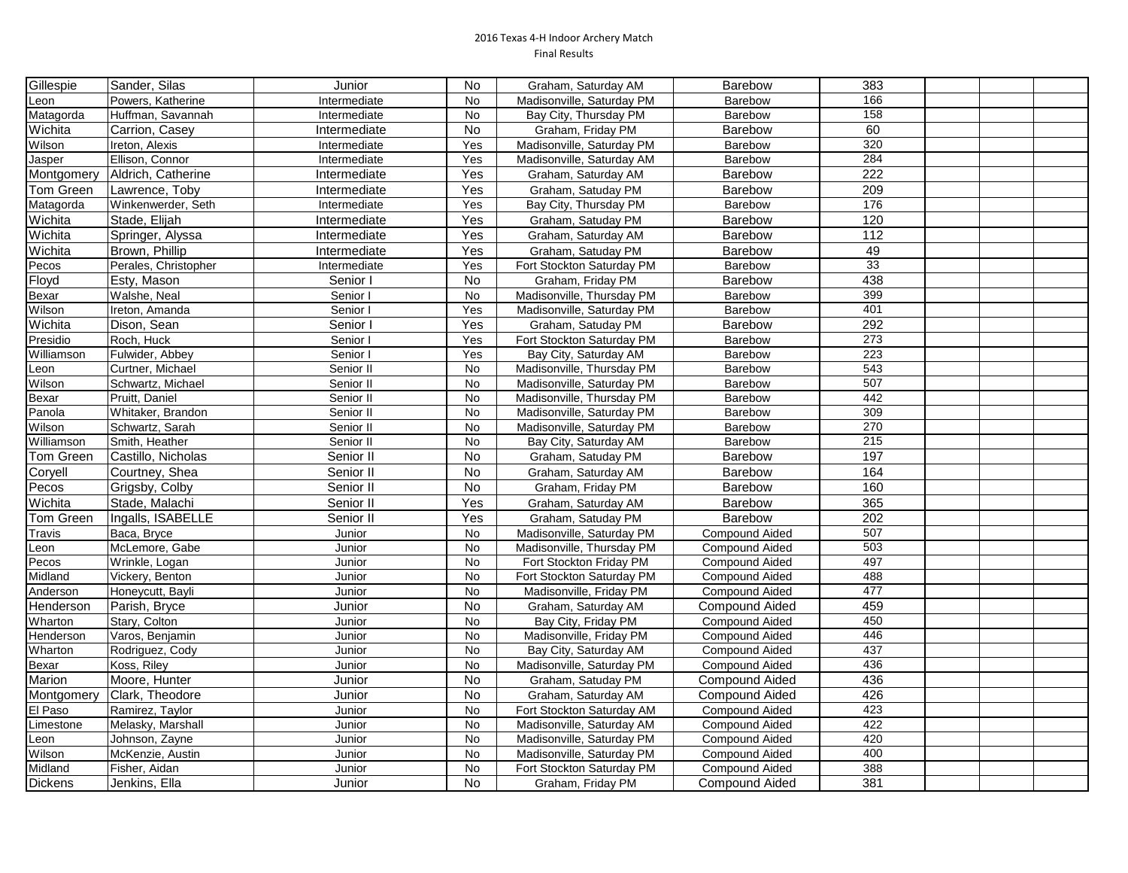| Gillespie      | Sander, Silas        | Junior       | No        | Graham, Saturday AM       | Barebow               | 383 |  |  |
|----------------|----------------------|--------------|-----------|---------------------------|-----------------------|-----|--|--|
| Leon           | Powers, Katherine    | Intermediate | No        | Madisonville, Saturday PM | <b>Barebow</b>        | 166 |  |  |
| Matagorda      | Huffman, Savannah    | Intermediate | No        | Bay City, Thursday PM     | Barebow               | 158 |  |  |
| Wichita        | Carrion, Casey       | Intermediate | <b>No</b> | Graham, Friday PM         | <b>Barebow</b>        | 60  |  |  |
| Wilson         | Ireton, Alexis       | Intermediate | Yes       | Madisonville, Saturday PM | Barebow               | 320 |  |  |
| Jasper         | Ellison, Connor      | Intermediate | Yes       | Madisonville, Saturday AM | Barebow               | 284 |  |  |
| Montgomery     | Aldrich, Catherine   | Intermediate | Yes       | Graham, Saturday AM       | Barebow               | 222 |  |  |
| Tom Green      | Lawrence, Toby       | Intermediate | Yes       | Graham, Satuday PM        | <b>Barebow</b>        | 209 |  |  |
| Matagorda      | Winkenwerder, Seth   | Intermediate | Yes       | Bay City, Thursday PM     | <b>Barebow</b>        | 176 |  |  |
| Wichita        | Stade, Elijah        | Intermediate | Yes       | Graham, Satuday PM        | <b>Barebow</b>        | 120 |  |  |
| Wichita        | Springer, Alyssa     | Intermediate | Yes       | Graham, Saturday AM       | <b>Barebow</b>        | 112 |  |  |
| Wichita        | Brown, Phillip       | Intermediate | Yes       | Graham, Satuday PM        | Barebow               | 49  |  |  |
| Pecos          | Perales, Christopher | Intermediate | Yes       | Fort Stockton Saturday PM | Barebow               | 33  |  |  |
| Floyd          | Esty, Mason          | Senior I     | <b>No</b> | Graham, Friday PM         | Barebow               | 438 |  |  |
| <b>Bexar</b>   | Walshe, Neal         | Senior I     | <b>No</b> | Madisonville, Thursday PM | Barebow               | 399 |  |  |
| <b>Wilson</b>  | Ireton, Amanda       | Senior I     | Yes       | Madisonville, Saturday PM | Barebow               | 401 |  |  |
| Wichita        | Dison, Sean          | Senior I     | Yes       | Graham, Satuday PM        | Barebow               | 292 |  |  |
| Presidio       | Roch, Huck           | Senior I     | Yes       | Fort Stockton Saturday PM | Barebow               | 273 |  |  |
| Williamson     | Fulwider, Abbey      | Senior I     | Yes       | Bay City, Saturday AM     | Barebow               | 223 |  |  |
| Leon           | Curtner, Michael     | Senior II    | No        | Madisonville, Thursday PM | Barebow               | 543 |  |  |
| Wilson         | Schwartz, Michael    | Senior II    | No        | Madisonville, Saturday PM | Barebow               | 507 |  |  |
| Bexar          | Pruitt, Daniel       | Senior II    | No        | Madisonville, Thursday PM | Barebow               | 442 |  |  |
| Panola         | Whitaker, Brandon    | Senior II    | No        | Madisonville, Saturday PM | Barebow               | 309 |  |  |
| Wilson         | Schwartz, Sarah      | Senior II    | No        | Madisonville, Saturday PM | Barebow               | 270 |  |  |
| Williamson     | Smith, Heather       | Senior II    | No        | Bay City, Saturday AM     | Barebow               | 215 |  |  |
| Tom Green      | Castillo, Nicholas   | Senior II    | <b>No</b> | Graham, Satuday PM        | Barebow               | 197 |  |  |
| Coryell        | Courtney, Shea       | Senior II    | No        | Graham, Saturday AM       | Barebow               | 164 |  |  |
| Pecos          | Grigsby, Colby       | Senior II    | No        | Graham, Friday PM         | Barebow               | 160 |  |  |
| Wichita        | Stade, Malachi       | Senior II    | Yes       | Graham, Saturday AM       | Barebow               | 365 |  |  |
| Tom Green      | Ingalls, ISABELLE    | Senior II    | Yes       | Graham, Satuday PM        | Barebow               | 202 |  |  |
| Travis         | Baca, Bryce          | Junior       | No        | Madisonville, Saturday PM | <b>Compound Aided</b> | 507 |  |  |
| Leon           | McLemore, Gabe       | Junior       | No        | Madisonville, Thursday PM | <b>Compound Aided</b> | 503 |  |  |
| Pecos          | Wrinkle, Logan       | Junior       | No        | Fort Stockton Friday PM   | <b>Compound Aided</b> | 497 |  |  |
| Midland        | Vickery, Benton      | Junior       | <b>No</b> | Fort Stockton Saturday PM | <b>Compound Aided</b> | 488 |  |  |
| Anderson       | Honeycutt, Bayli     | Junior       | No        | Madisonville, Friday PM   | <b>Compound Aided</b> | 477 |  |  |
| Henderson      | Parish, Bryce        | Junior       | <b>No</b> | Graham, Saturday AM       | <b>Compound Aided</b> | 459 |  |  |
| Wharton        | Stary, Colton        | Junior       | No        | Bay City, Friday PM       | <b>Compound Aided</b> | 450 |  |  |
| Henderson      | Varos, Benjamin      | Junior       | No        | Madisonville, Friday PM   | <b>Compound Aided</b> | 446 |  |  |
| Wharton        | Rodriguez, Cody      | Junior       | No        | Bay City, Saturday AM     | <b>Compound Aided</b> | 437 |  |  |
| Bexar          | Koss, Riley          | Junior       | No        | Madisonville, Saturday PM | <b>Compound Aided</b> | 436 |  |  |
| Marion         | Moore, Hunter        | Junior       | No        | Graham, Satuday PM        | Compound Aided        | 436 |  |  |
| Montgomery     | Clark, Theodore      | Junior       | No        | Graham, Saturday AM       | <b>Compound Aided</b> | 426 |  |  |
| El Paso        | Ramirez, Taylor      | Junior       | No        | Fort Stockton Saturday AM | <b>Compound Aided</b> | 423 |  |  |
| Limestone      | Melasky, Marshall    | Junior       | No        | Madisonville, Saturday AM | <b>Compound Aided</b> | 422 |  |  |
| Leon           | Johnson, Zayne       | Junior       | No        | Madisonville, Saturday PM | <b>Compound Aided</b> | 420 |  |  |
| Wilson         | McKenzie, Austin     | Junior       | No        | Madisonville, Saturday PM | <b>Compound Aided</b> | 400 |  |  |
| Midland        | Fisher, Aidan        | Junior       | No        | Fort Stockton Saturday PM | <b>Compound Aided</b> | 388 |  |  |
| <b>Dickens</b> | Jenkins, Ella        | Junior       | <b>No</b> | Graham, Friday PM         | <b>Compound Aided</b> | 381 |  |  |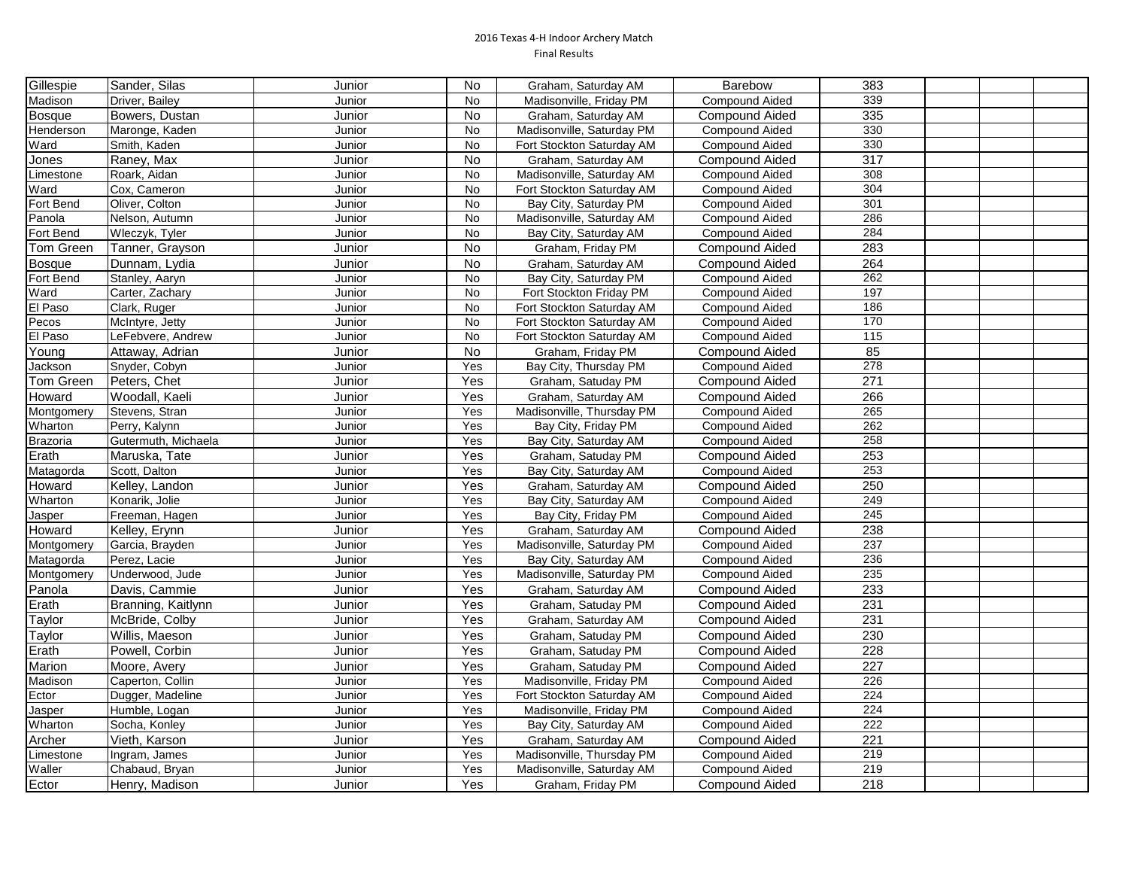| Gillespie     | Sander, Silas       | Junior | No        | Graham, Saturday AM       | Barebow               | 383               |  |  |
|---------------|---------------------|--------|-----------|---------------------------|-----------------------|-------------------|--|--|
| Madison       | Driver, Bailey      | Junior | No        | Madisonville, Friday PM   | <b>Compound Aided</b> | 339               |  |  |
| <b>Bosque</b> | Bowers, Dustan      | Junior | No        | Graham, Saturday AM       | Compound Aided        | 335               |  |  |
| Henderson     | Maronge, Kaden      | Junior | No        | Madisonville, Saturday PM | Compound Aided        | 330               |  |  |
| Ward          | Smith, Kaden        | Junior | <b>No</b> | Fort Stockton Saturday AM | Compound Aided        | 330               |  |  |
| Jones         | Raney, Max          | Junior | No        | Graham, Saturday AM       | <b>Compound Aided</b> | 317               |  |  |
| Limestone     | Roark, Aidan        | Junior | <b>No</b> | Madisonville, Saturday AM | Compound Aided        | 308               |  |  |
| Ward          | Cox, Cameron        | Junior | <b>No</b> | Fort Stockton Saturday AM | <b>Compound Aided</b> | 304               |  |  |
| Fort Bend     | Oliver, Colton      | Junior | <b>No</b> | Bay City, Saturday PM     | <b>Compound Aided</b> | 301               |  |  |
| Panola        | Nelson, Autumn      | Junior | <b>No</b> | Madisonville, Saturday AM | <b>Compound Aided</b> | 286               |  |  |
| Fort Bend     | Wleczyk, Tyler      | Junior | <b>No</b> | Bay City, Saturday AM     | <b>Compound Aided</b> | 284               |  |  |
| Tom Green     | Tanner, Grayson     | Junior | <b>No</b> | Graham, Friday PM         | <b>Compound Aided</b> | 283               |  |  |
| Bosque        | Dunnam, Lydia       | Junior | No        | Graham, Saturday AM       | <b>Compound Aided</b> | 264               |  |  |
| Fort Bend     | Stanley, Aaryn      | Junior | <b>No</b> | Bay City, Saturday PM     | <b>Compound Aided</b> | 262               |  |  |
| Ward          | Carter, Zachary     | Junior | No        | Fort Stockton Friday PM   | <b>Compound Aided</b> | 197               |  |  |
| El Paso       | Clark, Ruger        | Junior | No        | Fort Stockton Saturday AM | Compound Aided        | 186               |  |  |
| Pecos         | McIntyre, Jetty     | Junior | No        | Fort Stockton Saturday AM | <b>Compound Aided</b> | 170               |  |  |
| El Paso       | LeFebvere, Andrew   | Junior | No        | Fort Stockton Saturday AM | <b>Compound Aided</b> | $\frac{115}{115}$ |  |  |
| Young         | Attaway, Adrian     | Junior | No        | Graham, Friday PM         | Compound Aided        | 85                |  |  |
| Jackson       | Snyder, Cobyn       | Junior | Yes       | Bay City, Thursday PM     | Compound Aided        | 278               |  |  |
| Tom Green     | Peters, Chet        | Junior | Yes       | Graham, Satuday PM        | <b>Compound Aided</b> | 271               |  |  |
| Howard        | Woodall, Kaeli      | Junior | Yes       | Graham, Saturday AM       | <b>Compound Aided</b> | 266               |  |  |
| Montgomery    | Stevens, Stran      | Junior | Yes       | Madisonville, Thursday PM | <b>Compound Aided</b> | 265               |  |  |
| Wharton       | Perry, Kalynn       | Junior | Yes       | Bay City, Friday PM       | Compound Aided        | 262               |  |  |
| Brazoria      | Gutermuth, Michaela | Junior | Yes       | Bay City, Saturday AM     | Compound Aided        | 258               |  |  |
| Erath         | Maruska, Tate       | Junior | Yes       | Graham, Satuday PM        | <b>Compound Aided</b> | 253               |  |  |
| Matagorda     | Scott, Dalton       | Junior | Yes       | Bay City, Saturday AM     | Compound Aided        | 253               |  |  |
| Howard        | Kelley, Landon      | Junior | Yes       | Graham, Saturday AM       | <b>Compound Aided</b> | 250               |  |  |
| Wharton       | Konarik, Jolie      | Junior | Yes       | Bay City, Saturday AM     | <b>Compound Aided</b> | 249               |  |  |
| Jasper        | Freeman, Hagen      | Junior | Yes       | Bay City, Friday PM       | <b>Compound Aided</b> | 245               |  |  |
| Howard        | Kelley, Erynn       | Junior | Yes       | Graham, Saturday AM       | <b>Compound Aided</b> | 238               |  |  |
| Montgomery    | Garcia, Brayden     | Junior | Yes       | Madisonville, Saturday PM | <b>Compound Aided</b> | 237               |  |  |
| Matagorda     | Perez, Lacie        | Junior | Yes       | Bay City, Saturday AM     | <b>Compound Aided</b> | 236               |  |  |
| Montgomery    | Underwood, Jude     | Junior | Yes       | Madisonville, Saturday PM | Compound Aided        | 235               |  |  |
| Panola        | Davis, Cammie       | Junior | Yes       | Graham, Saturday AM       | Compound Aided        | 233               |  |  |
| Erath         | Branning, Kaitlynn  | Junior | Yes       | Graham, Satuday PM        | Compound Aided        | 231               |  |  |
| Taylor        | McBride, Colby      | Junior | Yes       | Graham, Saturday AM       | <b>Compound Aided</b> | 231               |  |  |
| Taylor        | Willis, Maeson      | Junior | Yes       | Graham, Satuday PM        | <b>Compound Aided</b> | 230               |  |  |
| Erath         | Powell, Corbin      | Junior | Yes       | Graham, Satuday PM        | Compound Aided        | 228               |  |  |
| Marion        | Moore, Avery        | Junior | Yes       | Graham, Satuday PM        | <b>Compound Aided</b> | 227               |  |  |
| Madison       | Caperton, Collin    | Junior | Yes       | Madisonville, Friday PM   | Compound Aided        | 226               |  |  |
| Ector         | Dugger, Madeline    | Junior | Yes       | Fort Stockton Saturday AM | <b>Compound Aided</b> | 224               |  |  |
| Jasper        | Humble, Logan       | Junior | Yes       | Madisonville, Friday PM   | Compound Aided        | 224               |  |  |
| Wharton       | Socha, Konley       | Junior | Yes       | Bay City, Saturday AM     | Compound Aided        | 222               |  |  |
| Archer        | Vieth, Karson       | Junior | Yes       | Graham, Saturday AM       | <b>Compound Aided</b> | 221               |  |  |
| Limestone     | Ingram, James       | Junior | Yes       | Madisonville, Thursday PM | <b>Compound Aided</b> | 219               |  |  |
| Waller        | Chabaud, Bryan      | Junior | Yes       | Madisonville, Saturday AM | <b>Compound Aided</b> | 219               |  |  |
| Ector         | Henry, Madison      | Junior | Yes       | Graham, Friday PM         | <b>Compound Aided</b> | 218               |  |  |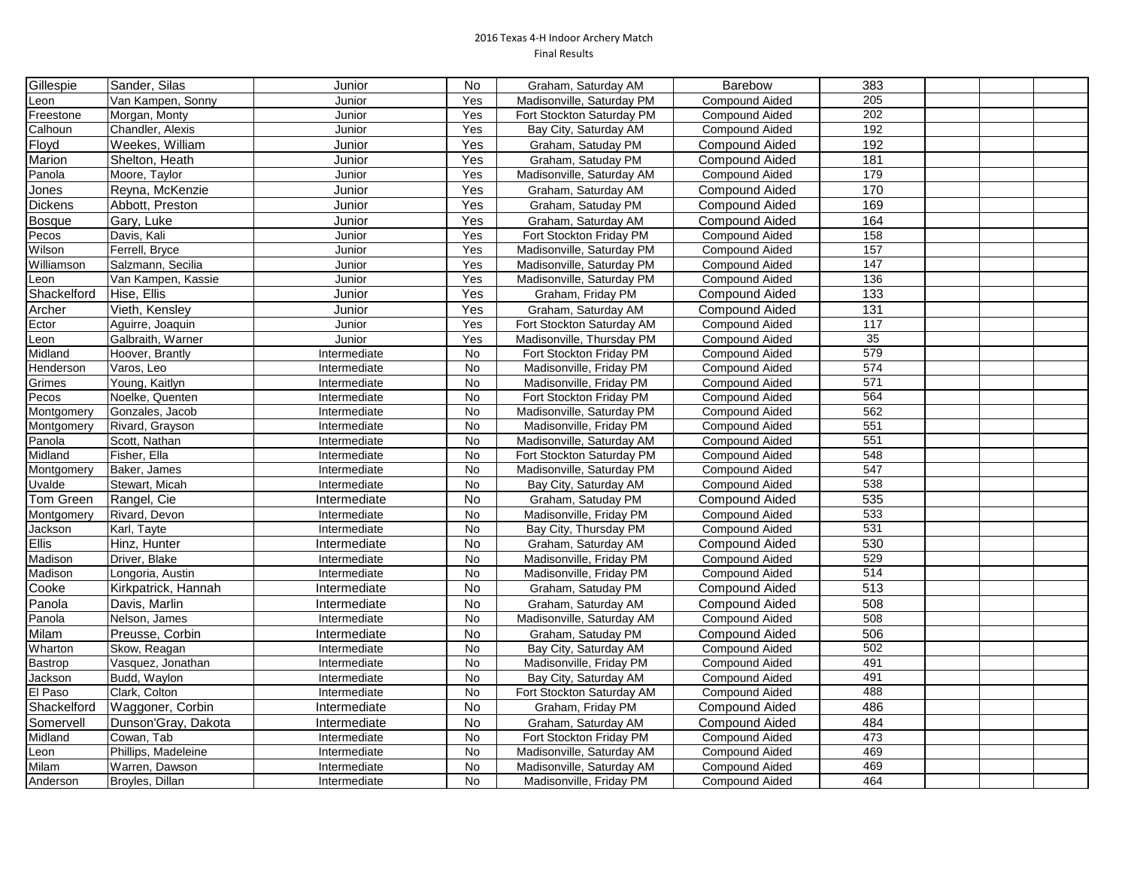| Gillespie     | Sander, Silas       | Junior       | No        | Graham, Saturday AM       | <b>Barebow</b>        | 383              |  |  |
|---------------|---------------------|--------------|-----------|---------------------------|-----------------------|------------------|--|--|
| Leon          | Van Kampen, Sonny   | Junior       | Yes       | Madisonville, Saturday PM | <b>Compound Aided</b> | 205              |  |  |
| Freestone     | Morgan, Monty       | Junior       | Yes       | Fort Stockton Saturday PM | <b>Compound Aided</b> | 202              |  |  |
| Calhoun       | Chandler, Alexis    | Junior       | Yes       | Bay City, Saturday AM     | <b>Compound Aided</b> | 192              |  |  |
| Floyd         | Weekes, William     | Junior       | Yes       | Graham, Satuday PM        | <b>Compound Aided</b> | 192              |  |  |
| Marion        | Shelton, Heath      | Junior       | Yes       | Graham, Satuday PM        | <b>Compound Aided</b> | 181              |  |  |
| Panola        | Moore, Taylor       | Junior       | Yes       | Madisonville, Saturday AM | <b>Compound Aided</b> | 179              |  |  |
| Jones         | Reyna, McKenzie     | Junior       | Yes       | Graham, Saturday AM       | <b>Compound Aided</b> | 170              |  |  |
| Dickens       | Abbott, Preston     | Junior       | Yes       | Graham, Satuday PM        | <b>Compound Aided</b> | 169              |  |  |
| <b>Bosque</b> | Gary, Luke          | Junior       | Yes       | Graham, Saturday AM       | <b>Compound Aided</b> | 164              |  |  |
| Pecos         | Davis, Kali         | Junior       | Yes       | Fort Stockton Friday PM   | <b>Compound Aided</b> | 158              |  |  |
| Wilson        | Ferrell, Bryce      | Junior       | Yes       | Madisonville, Saturday PM | <b>Compound Aided</b> | 157              |  |  |
| Williamson    | Salzmann, Secilia   | Junior       | Yes       | Madisonville, Saturday PM | <b>Compound Aided</b> | 147              |  |  |
| Leon          | Van Kampen, Kassie  | Junior       | Yes       | Madisonville, Saturday PM | <b>Compound Aided</b> | 136              |  |  |
| Shackelford   | Hise, Ellis         | Junior       | Yes       | Graham, Friday PM         | <b>Compound Aided</b> | $\overline{133}$ |  |  |
| Archer        | Vieth, Kensley      | Junior       | Yes       | Graham, Saturday AM       | <b>Compound Aided</b> | 131              |  |  |
| Ector         | Aguirre, Joaquin    | Junior       | Yes       | Fort Stockton Saturday AM | <b>Compound Aided</b> | 117              |  |  |
| Leon          | Galbraith, Warner   | Junior       | Yes       | Madisonville, Thursday PM | <b>Compound Aided</b> | 35               |  |  |
| Midland       | Hoover, Brantly     | Intermediate | No        | Fort Stockton Friday PM   | <b>Compound Aided</b> | 579              |  |  |
| Henderson     | Varos, Leo          | Intermediate | No        | Madisonville, Friday PM   | <b>Compound Aided</b> | 574              |  |  |
| Grimes        | Young, Kaitlyn      | Intermediate | No        | Madisonville, Friday PM   | <b>Compound Aided</b> | 571              |  |  |
| Pecos         | Noelke, Quenten     | Intermediate | No        | Fort Stockton Friday PM   | <b>Compound Aided</b> | 564              |  |  |
| Montgomery    | Gonzales, Jacob     | Intermediate | No        | Madisonville, Saturday PM | <b>Compound Aided</b> | 562              |  |  |
| Montgomery    | Rivard, Grayson     | Intermediate | No        | Madisonville, Friday PM   | <b>Compound Aided</b> | 551              |  |  |
| Panola        | Scott, Nathan       | Intermediate | No        | Madisonville, Saturday AM | <b>Compound Aided</b> | 551              |  |  |
| Midland       | Fisher, Ella        | Intermediate | No        | Fort Stockton Saturday PM | <b>Compound Aided</b> | 548              |  |  |
| Montgomery    | Baker, James        | Intermediate | No        | Madisonville, Saturday PM | <b>Compound Aided</b> | 547              |  |  |
| Uvalde        | Stewart, Micah      | Intermediate | No        | Bay City, Saturday AM     | <b>Compound Aided</b> | 538              |  |  |
| Tom Green     | Rangel, Cie         | Intermediate | No        | Graham, Satuday PM        | <b>Compound Aided</b> | 535              |  |  |
| Montgomery    | Rivard, Devon       | Intermediate | <b>No</b> | Madisonville, Friday PM   | <b>Compound Aided</b> | 533              |  |  |
| Jackson       | Karl, Tayte         | Intermediate | <b>No</b> | Bay City, Thursday PM     | <b>Compound Aided</b> | 531              |  |  |
| Ellis         | Hinz, Hunter        | Intermediate | No        | Graham, Saturday AM       | <b>Compound Aided</b> | 530              |  |  |
| Madison       | Driver, Blake       | Intermediate | No        | Madisonville, Friday PM   | <b>Compound Aided</b> | 529              |  |  |
| Madison       | Longoria, Austin    | Intermediate | No        | Madisonville, Friday PM   | <b>Compound Aided</b> | 514              |  |  |
| Cooke         | Kirkpatrick, Hannah | Intermediate | No        | Graham, Satuday PM        | <b>Compound Aided</b> | 513              |  |  |
| Panola        | Davis, Marlin       | Intermediate | No        | Graham, Saturday AM       | <b>Compound Aided</b> | 508              |  |  |
| Panola        | Nelson, James       | Intermediate | No        | Madisonville, Saturday AM | <b>Compound Aided</b> | 508              |  |  |
| Milam         | Preusse, Corbin     | Intermediate | <b>No</b> | Graham, Satuday PM        | Compound Aided        | 506              |  |  |
| Wharton       | Skow, Reagan        | Intermediate | No        | Bay City, Saturday AM     | <b>Compound Aided</b> | 502              |  |  |
| Bastrop       | Vasquez, Jonathan   | Intermediate | No        | Madisonville, Friday PM   | <b>Compound Aided</b> | 491              |  |  |
| Jackson       | Budd, Waylon        | Intermediate | No        | Bay City, Saturday AM     | <b>Compound Aided</b> | 491              |  |  |
| El Paso       | Clark, Colton       | Intermediate | No        | Fort Stockton Saturday AM | Compound Aided        | 488              |  |  |
| Shackelford   | Waggoner, Corbin    | Intermediate | <b>No</b> | Graham, Friday PM         | <b>Compound Aided</b> | 486              |  |  |
| Somervell     | Dunson'Gray, Dakota | Intermediate | <b>No</b> | Graham, Saturday AM       | <b>Compound Aided</b> | 484              |  |  |
| Midland       | Cowan, Tab          | Intermediate | No        | Fort Stockton Friday PM   | <b>Compound Aided</b> | 473              |  |  |
| Leon          | Phillips, Madeleine | Intermediate | No        | Madisonville, Saturday AM | <b>Compound Aided</b> | 469              |  |  |
| Milam         | Warren, Dawson      | Intermediate | No        | Madisonville, Saturday AM | Compound Aided        | 469              |  |  |
| Anderson      | Broyles, Dillan     | Intermediate | <b>No</b> | Madisonville, Friday PM   | <b>Compound Aided</b> | 464              |  |  |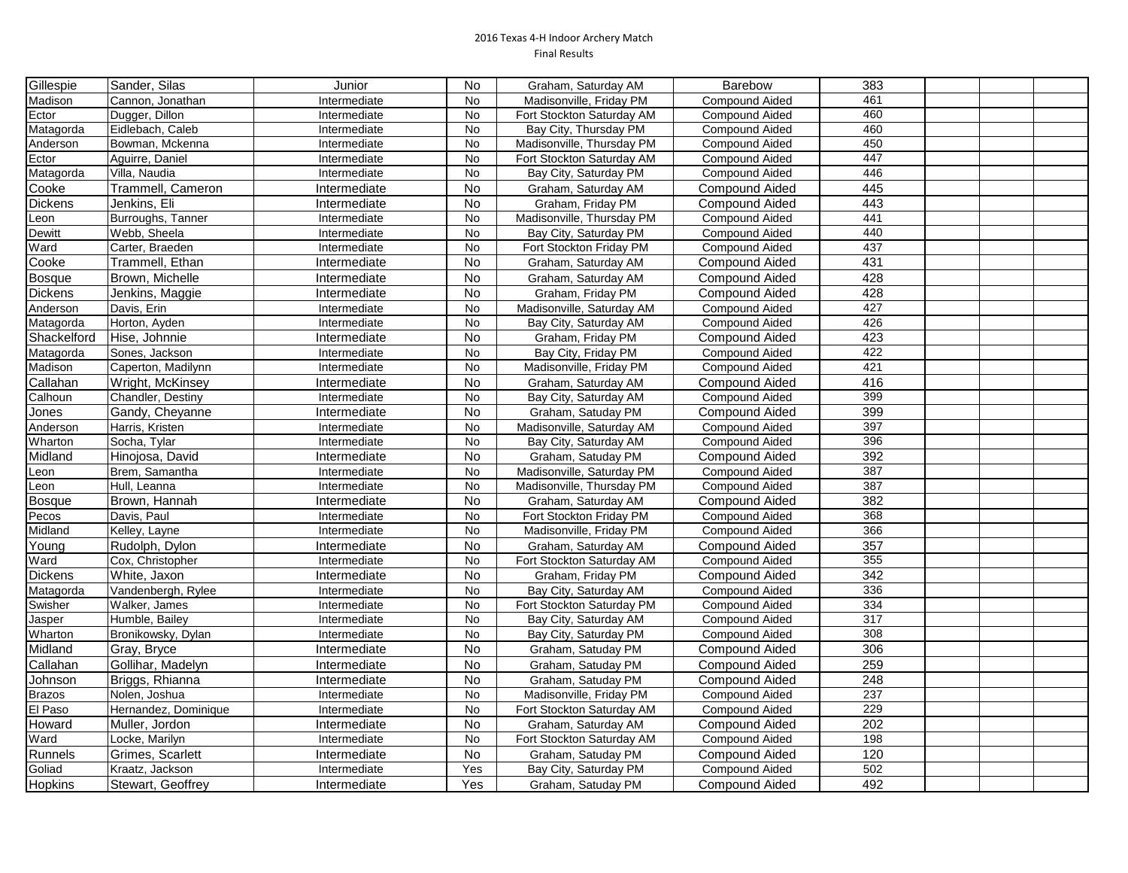| Gillespie      | Sander, Silas        | Junior       | No        | Graham, Saturday AM       | <b>Barebow</b>        | 383 |  |  |
|----------------|----------------------|--------------|-----------|---------------------------|-----------------------|-----|--|--|
| Madison        | Cannon, Jonathan     | Intermediate | No        | Madisonville, Friday PM   | Compound Aided        | 461 |  |  |
| Ector          | Dugger, Dillon       | Intermediate | No        | Fort Stockton Saturday AM | <b>Compound Aided</b> | 460 |  |  |
| Matagorda      | Eidlebach, Caleb     | Intermediate | No        | Bay City, Thursday PM     | <b>Compound Aided</b> | 460 |  |  |
| Anderson       | Bowman, Mckenna      | Intermediate | No.       | Madisonville, Thursday PM | <b>Compound Aided</b> | 450 |  |  |
| Ector          | Aguirre, Daniel      | Intermediate | No        | Fort Stockton Saturday AM | <b>Compound Aided</b> | 447 |  |  |
| Matagorda      | Villa, Naudia        | Intermediate | No.       | Bay City, Saturday PM     | <b>Compound Aided</b> | 446 |  |  |
| Cooke          | Trammell, Cameron    | Intermediate | No        | Graham, Saturday AM       | <b>Compound Aided</b> | 445 |  |  |
| <b>Dickens</b> | Jenkins, Eli         | Intermediate | No        | Graham, Friday PM         | <b>Compound Aided</b> | 443 |  |  |
| Leon           | Burroughs, Tanner    | Intermediate | No        | Madisonville, Thursday PM | <b>Compound Aided</b> | 441 |  |  |
| Dewitt         | Webb, Sheela         | Intermediate | No        | Bay City, Saturday PM     | <b>Compound Aided</b> | 440 |  |  |
| Ward           | Carter, Braeden      | Intermediate | No        | Fort Stockton Friday PM   | <b>Compound Aided</b> | 437 |  |  |
| Cooke          | Trammell, Ethan      | Intermediate | No        | Graham, Saturday AM       | <b>Compound Aided</b> | 431 |  |  |
| <b>Bosque</b>  | Brown, Michelle      | Intermediate | No        | Graham, Saturday AM       | <b>Compound Aided</b> | 428 |  |  |
| <b>Dickens</b> | Jenkins, Maggie      | Intermediate | No        | Graham, Friday PM         | <b>Compound Aided</b> | 428 |  |  |
| Anderson       | Davis, Erin          | Intermediate | No        | Madisonville, Saturday AM | <b>Compound Aided</b> | 427 |  |  |
| Matagorda      | Horton, Ayden        | Intermediate | No        | Bay City, Saturday AM     | <b>Compound Aided</b> | 426 |  |  |
| Shackelford    | Hise, Johnnie        | Intermediate | <b>No</b> | Graham, Friday PM         | <b>Compound Aided</b> | 423 |  |  |
| Matagorda      | Sones, Jackson       | Intermediate | <b>No</b> | Bay City, Friday PM       | <b>Compound Aided</b> | 422 |  |  |
| Madison        | Caperton, Madilynn   | Intermediate | <b>No</b> | Madisonville, Friday PM   | <b>Compound Aided</b> | 421 |  |  |
| Callahan       | Wright, McKinsey     | Intermediate | <b>No</b> | Graham, Saturday AM       | <b>Compound Aided</b> | 416 |  |  |
| Calhoun        | Chandler, Destiny    | Intermediate | <b>No</b> | Bay City, Saturday AM     | <b>Compound Aided</b> | 399 |  |  |
| Jones          | Gandy, Cheyanne      | Intermediate | <b>No</b> | Graham, Satuday PM        | <b>Compound Aided</b> | 399 |  |  |
| Anderson       | Harris, Kristen      | Intermediate | No        | Madisonville, Saturday AM | <b>Compound Aided</b> | 397 |  |  |
| Wharton        | Socha, Tylar         | Intermediate | <b>No</b> | Bay City, Saturday AM     | <b>Compound Aided</b> | 396 |  |  |
| Midland        | Hinojosa, David      | Intermediate | <b>No</b> | Graham, Satuday PM        | <b>Compound Aided</b> | 392 |  |  |
| Leon           | Brem, Samantha       | Intermediate | <b>No</b> | Madisonville, Saturday PM | <b>Compound Aided</b> | 387 |  |  |
| Leon           | Hull, Leanna         | Intermediate | No        | Madisonville, Thursday PM | Compound Aided        | 387 |  |  |
| <b>Bosque</b>  | Brown, Hannah        | Intermediate | <b>No</b> | Graham. Saturdav AM       | <b>Compound Aided</b> | 382 |  |  |
| Pecos          | Davis, Paul          | Intermediate | <b>No</b> | Fort Stockton Friday PM   | <b>Compound Aided</b> | 368 |  |  |
| Midland        | Kelley, Layne        | Intermediate | <b>No</b> | Madisonville, Friday PM   | <b>Compound Aided</b> | 366 |  |  |
| Young          | Rudolph, Dylon       | Intermediate | No        | Graham, Saturday AM       | <b>Compound Aided</b> | 357 |  |  |
| Ward           | Cox, Christopher     | Intermediate | No        | Fort Stockton Saturday AM | <b>Compound Aided</b> | 355 |  |  |
| Dickens        | White, Jaxon         | Intermediate | No        | Graham, Friday PM         | <b>Compound Aided</b> | 342 |  |  |
| Matagorda      | Vandenbergh, Rylee   | Intermediate | No        | Bay City, Saturday AM     | <b>Compound Aided</b> | 336 |  |  |
| Swisher        | Walker, James        | Intermediate | No        | Fort Stockton Saturday PM | <b>Compound Aided</b> | 334 |  |  |
| Jasper         | Humble, Bailey       | Intermediate | No        | Bay City, Saturday AM     | <b>Compound Aided</b> | 317 |  |  |
| Wharton        | Bronikowsky, Dylan   | Intermediate | No        | Bay City, Saturday PM     | <b>Compound Aided</b> | 308 |  |  |
| Midland        | Gray, Bryce          | Intermediate | No        | Graham, Satuday PM        | <b>Compound Aided</b> | 306 |  |  |
| Callahan       | Gollihar, Madelyn    | Intermediate | No        | Graham, Satuday PM        | <b>Compound Aided</b> | 259 |  |  |
| Johnson        | Briggs, Rhianna      | Intermediate | <b>No</b> | Graham, Satuday PM        | <b>Compound Aided</b> | 248 |  |  |
| Brazos         | Nolen, Joshua        | Intermediate | No        | Madisonville, Friday PM   | <b>Compound Aided</b> | 237 |  |  |
| El Paso        | Hernandez, Dominique | Intermediate | No        | Fort Stockton Saturday AM | <b>Compound Aided</b> | 229 |  |  |
| Howard         | Muller, Jordon       | Intermediate | No        | Graham, Saturday AM       | Compound Aided        | 202 |  |  |
| Ward           | Locke, Marilyn       | Intermediate | No        | Fort Stockton Saturday AM | <b>Compound Aided</b> | 198 |  |  |
| Runnels        | Grimes, Scarlett     | Intermediate | No        | Graham, Satuday PM        | <b>Compound Aided</b> | 120 |  |  |
| Goliad         | Kraatz, Jackson      | Intermediate | Yes       | Bay City, Saturday PM     | <b>Compound Aided</b> | 502 |  |  |
| Hopkins        | Stewart, Geoffrev    | Intermediate | Yes       | Graham, Satuday PM        | <b>Compound Aided</b> | 492 |  |  |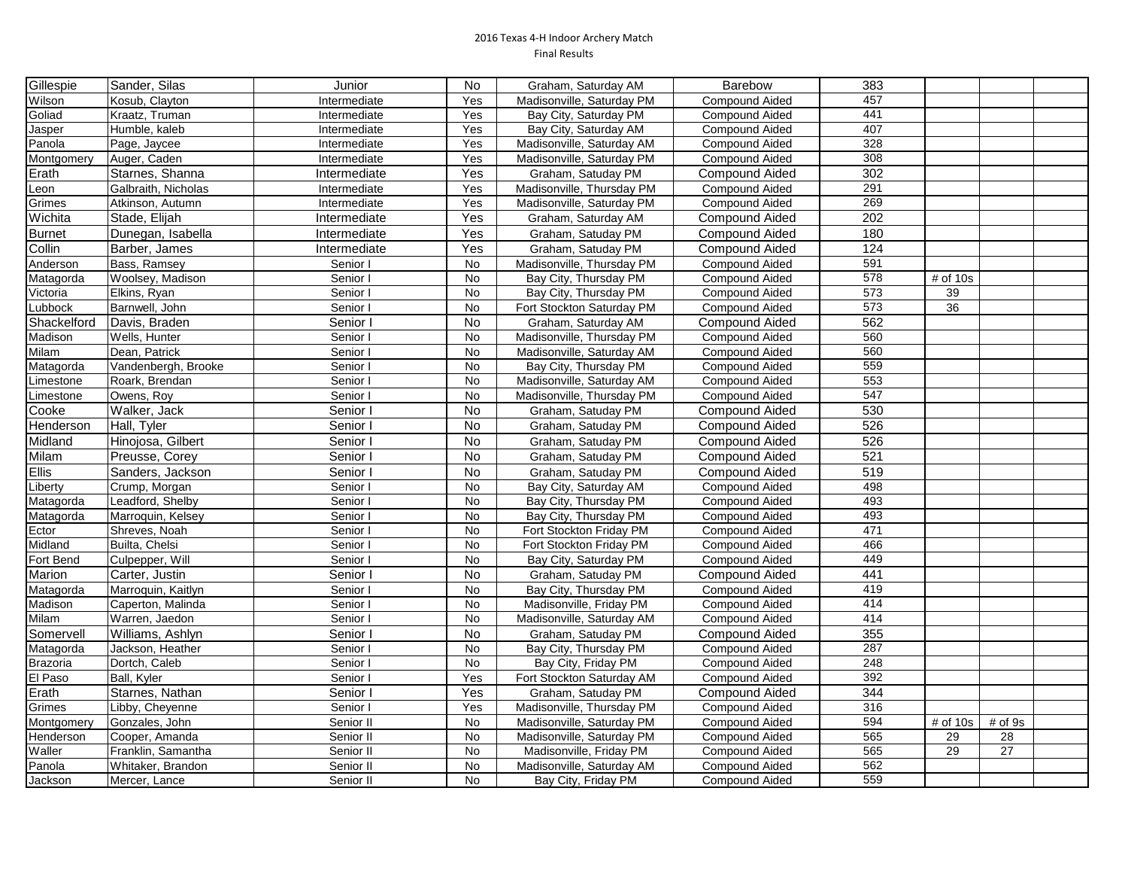| Gillespie     | Sander, Silas       | Junior       | No        | Graham, Saturday AM       | <b>Barebow</b>        | 383 |            |         |  |
|---------------|---------------------|--------------|-----------|---------------------------|-----------------------|-----|------------|---------|--|
| Wilson        | Kosub, Clayton      | Intermediate | Yes       | Madisonville, Saturday PM | Compound Aided        | 457 |            |         |  |
| Goliad        | Kraatz, Truman      | Intermediate | Yes       | Bay City, Saturday PM     | <b>Compound Aided</b> | 441 |            |         |  |
| Jasper        | Humble, kaleb       | Intermediate | Yes       | Bay City, Saturday AM     | <b>Compound Aided</b> | 407 |            |         |  |
| Panola        | Page, Jaycee        | Intermediate | Yes       | Madisonville, Saturday AM | <b>Compound Aided</b> | 328 |            |         |  |
| Montgomery    | Auger, Caden        | Intermediate | Yes       | Madisonville, Saturday PM | <b>Compound Aided</b> | 308 |            |         |  |
| Erath         | Starnes, Shanna     | Intermediate | Yes       | Graham, Satuday PM        | <b>Compound Aided</b> | 302 |            |         |  |
| Leon          | Galbraith, Nicholas | Intermediate | Yes       | Madisonville, Thursday PM | <b>Compound Aided</b> | 291 |            |         |  |
| Grimes        | Atkinson, Autumn    | Intermediate | Yes       | Madisonville, Saturday PM | <b>Compound Aided</b> | 269 |            |         |  |
| Wichita       | Stade, Elijah       | Intermediate | Yes       | Graham, Saturday AM       | Compound Aided        | 202 |            |         |  |
| <b>Burnet</b> | Dunegan, Isabella   | Intermediate | Yes       | Graham, Satuday PM        | <b>Compound Aided</b> | 180 |            |         |  |
| Collin        | Barber, James       | Intermediate | Yes       | Graham, Satuday PM        | <b>Compound Aided</b> | 124 |            |         |  |
| Anderson      | Bass, Ramsey        | Senior I     | No        | Madisonville, Thursday PM | <b>Compound Aided</b> | 591 |            |         |  |
| Matagorda     | Woolsey, Madison    | Senior I     | <b>No</b> | Bay City, Thursday PM     | <b>Compound Aided</b> | 578 | $#$ of 10s |         |  |
| Victoria      | Elkins, Ryan        | Senior I     | No        | Bay City, Thursday PM     | <b>Compound Aided</b> | 573 | 39         |         |  |
| Lubbock       | Barnwell, John      | Senior I     | No        | Fort Stockton Saturday PM | <b>Compound Aided</b> | 573 | 36         |         |  |
| Shackelford   | Davis, Braden       | Senior I     | No        | Graham, Saturday AM       | <b>Compound Aided</b> | 562 |            |         |  |
| Madison       | Wells, Hunter       | Senior I     | No        | Madisonville, Thursday PM | <b>Compound Aided</b> | 560 |            |         |  |
| Milam         | Dean, Patrick       | Senior I     | <b>No</b> | Madisonville, Saturday AM | <b>Compound Aided</b> | 560 |            |         |  |
| Matagorda     | Vandenbergh, Brooke | Senior I     | <b>No</b> | Bay City, Thursday PM     | <b>Compound Aided</b> | 559 |            |         |  |
| Limestone     | Roark, Brendan      | Senior I     | <b>No</b> | Madisonville, Saturday AM | <b>Compound Aided</b> | 553 |            |         |  |
| Limestone     | Owens, Roy          | Senior I     | No        | Madisonville, Thursday PM | Compound Aided        | 547 |            |         |  |
| Cooke         | Walker, Jack        | Senior I     | No        | Graham, Satuday PM        | <b>Compound Aided</b> | 530 |            |         |  |
| Henderson     | Hall, Tyler         | Senior I     | No        | Graham, Satuday PM        | <b>Compound Aided</b> | 526 |            |         |  |
| Midland       | Hinojosa, Gilbert   | Senior I     | No        | Graham, Satuday PM        | <b>Compound Aided</b> | 526 |            |         |  |
| Milam         | Preusse, Corey      | Senior I     | <b>No</b> | Graham, Satuday PM        | <b>Compound Aided</b> | 521 |            |         |  |
| <b>Ellis</b>  | Sanders, Jackson    | Senior I     | No        | Graham, Satuday PM        | <b>Compound Aided</b> | 519 |            |         |  |
| Liberty       | Crump, Morgan       | Senior I     | No        | Bay City, Saturday AM     | <b>Compound Aided</b> | 498 |            |         |  |
| Matagorda     | Leadford, Shelby    | Senior I     | No        | Bay City, Thursday PM     | <b>Compound Aided</b> | 493 |            |         |  |
| Matagorda     | Marroquin, Kelsey   | Senior I     | No        | Bay City, Thursday PM     | <b>Compound Aided</b> | 493 |            |         |  |
| Ector         | Shreves, Noah       | Senior I     | No        | Fort Stockton Friday PM   | <b>Compound Aided</b> | 471 |            |         |  |
| Midland       | Builta, Chelsi      | Senior I     | No        | Fort Stockton Friday PM   | <b>Compound Aided</b> | 466 |            |         |  |
| Fort Bend     | Culpepper, Will     | Senior I     | No        | Bay City, Saturday PM     | <b>Compound Aided</b> | 449 |            |         |  |
| Marion        | Carter, Justin      | Senior I     | <b>No</b> | Graham, Satuday PM        | <b>Compound Aided</b> | 441 |            |         |  |
| Matagorda     | Marroquin, Kaitlyn  | Senior I     | No        | Bay City, Thursday PM     | <b>Compound Aided</b> | 419 |            |         |  |
| Madison       | Caperton, Malinda   | Senior I     | No        | Madisonville, Friday PM   | <b>Compound Aided</b> | 414 |            |         |  |
| Milam         | Warren, Jaedon      | Senior I     | No        | Madisonville, Saturday AM | <b>Compound Aided</b> | 414 |            |         |  |
| Somervell     | Williams, Ashlyn    | Senior I     | No        | Graham, Satuday PM        | Compound Aided        | 355 |            |         |  |
| Matagorda     | Jackson, Heather    | Senior I     | No        | Bay City, Thursday PM     | <b>Compound Aided</b> | 287 |            |         |  |
| Brazoria      | Dortch, Caleb       | Senior I     | No        | Bay City, Friday PM       | <b>Compound Aided</b> | 248 |            |         |  |
| El Paso       | Ball, Kyler         | Senior I     | Yes       | Fort Stockton Saturday AM | Compound Aided        | 392 |            |         |  |
| Erath         | Starnes, Nathan     | Senior I     | Yes       | Graham, Satuday PM        | <b>Compound Aided</b> | 344 |            |         |  |
| Grimes        | Libby, Cheyenne     | Senior I     | Yes       | Madisonville, Thursday PM | Compound Aided        | 316 |            |         |  |
| Montgomery    | Gonzales, John      | Senior II    | No        | Madisonville, Saturday PM | <b>Compound Aided</b> | 594 | $#$ of 10s | # of 9s |  |
| Henderson     | Cooper, Amanda      | Senior II    | No        | Madisonville, Saturday PM | Compound Aided        | 565 | 29         | 28      |  |
| Waller        | Franklin, Samantha  | Senior II    | No        | Madisonville, Friday PM   | <b>Compound Aided</b> | 565 | 29         | 27      |  |
| Panola        | Whitaker, Brandon   | Senior II    | <b>No</b> | Madisonville, Saturday AM | <b>Compound Aided</b> | 562 |            |         |  |
| Jackson       | Mercer, Lance       | Senior II    | No        | Bay City, Friday PM       | <b>Compound Aided</b> | 559 |            |         |  |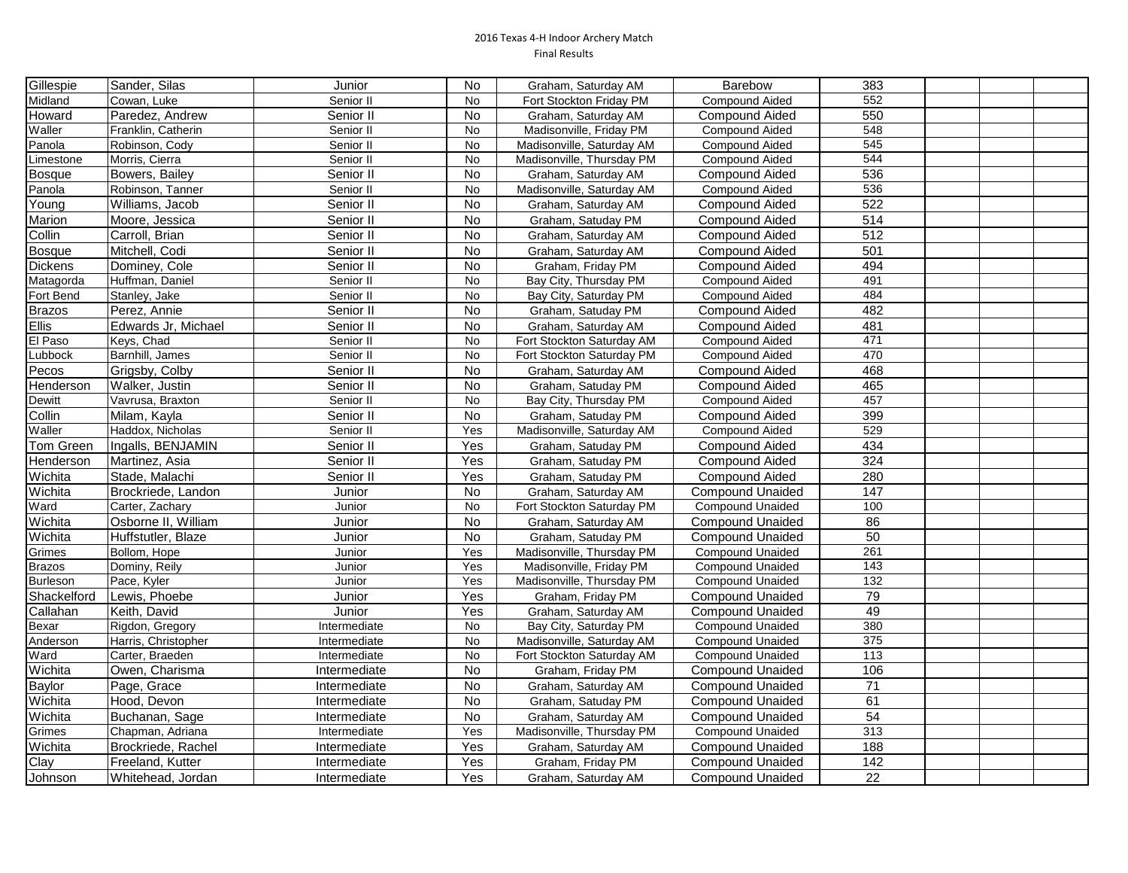| Gillespie       | Sander, Silas       | Junior       | No.       | Graham, Saturday AM       | Barebow                 | 383              |  |  |
|-----------------|---------------------|--------------|-----------|---------------------------|-------------------------|------------------|--|--|
| Midland         | Cowan, Luke         | Senior II    | No        | Fort Stockton Friday PM   | <b>Compound Aided</b>   | 552              |  |  |
| Howard          | Paredez, Andrew     | Senior II    | <b>No</b> | Graham, Saturday AM       | <b>Compound Aided</b>   | 550              |  |  |
| Waller          | Franklin, Catherin  | Senior II    | No        | Madisonville, Friday PM   | Compound Aided          | 548              |  |  |
| Panola          | Robinson, Cody      | Senior II    | No        | Madisonville, Saturday AM | <b>Compound Aided</b>   | 545              |  |  |
| Limestone       | Morris, Cierra      | Senior II    | No        | Madisonville, Thursday PM | Compound Aided          | 544              |  |  |
| <b>Bosque</b>   | Bowers, Bailey      | Senior II    | <b>No</b> | Graham, Saturday AM       | <b>Compound Aided</b>   | 536              |  |  |
| Panola          | Robinson, Tanner    | Senior II    | No        | Madisonville, Saturday AM | Compound Aided          | 536              |  |  |
| Young           | Williams, Jacob     | Senior II    | No        | Graham, Saturday AM       | <b>Compound Aided</b>   | 522              |  |  |
| Marion          | Moore, Jessica      | Senior II    | <b>No</b> | Graham, Satuday PM        | <b>Compound Aided</b>   | 514              |  |  |
| Collin          | Carroll. Brian      | Senior II    | No        | Graham, Saturday AM       | <b>Compound Aided</b>   | 512              |  |  |
| <b>Bosque</b>   | Mitchell, Codi      | Senior II    | <b>No</b> | Graham, Saturday AM       | <b>Compound Aided</b>   | 501              |  |  |
| <b>Dickens</b>  | Dominey, Cole       | Senior II    | No        | Graham, Friday PM         | <b>Compound Aided</b>   | 494              |  |  |
| Matagorda       | Huffman, Daniel     | Senior II    | No        | Bay City, Thursday PM     | <b>Compound Aided</b>   | 491              |  |  |
| Fort Bend       | Stanley, Jake       | Senior II    | No        | Bay City, Saturday PM     | Compound Aided          | 484              |  |  |
| <b>Brazos</b>   | Perez, Annie        | Senior II    | No        | Graham, Satuday PM        | Compound Aided          | 482              |  |  |
| <b>Ellis</b>    | Edwards Jr. Michael | Senior II    | <b>No</b> | Graham, Saturday AM       | <b>Compound Aided</b>   | 481              |  |  |
| El Paso         | Keys, Chad          | Senior II    | <b>No</b> | Fort Stockton Saturday AM | <b>Compound Aided</b>   | 471              |  |  |
| Lubbock         | Barnhill, James     | Senior II    | No        | Fort Stockton Saturday PM | Compound Aided          | 470              |  |  |
| Pecos           | Grigsby, Colby      | Senior II    | <b>No</b> | Graham, Saturday AM       | <b>Compound Aided</b>   | 468              |  |  |
| Henderson       | Walker, Justin      | Senior II    | <b>No</b> | Graham, Satuday PM        | <b>Compound Aided</b>   | 465              |  |  |
| Dewitt          | Vavrusa, Braxton    | Senior II    | No        | Bay City, Thursday PM     | Compound Aided          | 457              |  |  |
| Collin          | Milam, Kayla        | Senior II    | No        | Graham, Satuday PM        | <b>Compound Aided</b>   | 399              |  |  |
| Waller          | Haddox, Nicholas    | Senior II    | Yes       | Madisonville, Saturday AM | Compound Aided          | 529              |  |  |
| Tom Green       | Ingalls, BENJAMIN   | Senior II    | Yes       | Graham, Satuday PM        | <b>Compound Aided</b>   | 434              |  |  |
| Henderson       | Martinez, Asia      | Senior II    | Yes       | Graham, Satuday PM        | Compound Aided          | 324              |  |  |
| Wichita         | Stade, Malachi      | Senior II    | Yes       | Graham, Satuday PM        | <b>Compound Aided</b>   | 280              |  |  |
| Wichita         | Brockriede, Landon  | Junior       | <b>No</b> | Graham, Saturday AM       | <b>Compound Unaided</b> | 147              |  |  |
| Ward            | Carter, Zachary     | Junior       | No        | Fort Stockton Saturday PM | <b>Compound Unaided</b> | 100              |  |  |
| Wichita         | Osborne II, William | Junior       | No        | Graham, Saturday AM       | <b>Compound Unaided</b> | 86               |  |  |
| Wichita         | Huffstutler, Blaze  | Junior       | No        | Graham, Satuday PM        | <b>Compound Unaided</b> | 50               |  |  |
| Grimes          | Bollom, Hope        | Junior       | Yes       | Madisonville, Thursday PM | <b>Compound Unaided</b> | 261              |  |  |
| <b>Brazos</b>   | Dominy, Reily       | Junior       | Yes       | Madisonville, Friday PM   | <b>Compound Unaided</b> | 143              |  |  |
| <b>Burleson</b> | Pace, Kyler         | Junior       | Yes       | Madisonville, Thursday PM | <b>Compound Unaided</b> | $\overline{132}$ |  |  |
| Shackelford     | Lewis, Phoebe       | Junior       | Yes       | Graham, Friday PM         | <b>Compound Unaided</b> | 79               |  |  |
| Callahan        | Keith, David        | Junior       | Yes       | Graham, Saturday AM       | <b>Compound Unaided</b> | 49               |  |  |
| Bexar           | Rigdon, Gregory     | Intermediate | <b>No</b> | Bay City, Saturday PM     | <b>Compound Unaided</b> | 380              |  |  |
| Anderson        | Harris, Christopher | Intermediate | No        | Madisonville, Saturday AM | <b>Compound Unaided</b> | 375              |  |  |
| Ward            | Carter, Braeden     | Intermediate | No        | Fort Stockton Saturday AM | <b>Compound Unaided</b> | 113              |  |  |
| Wichita         | Owen, Charisma      | Intermediate | No        | Graham, Friday PM         | <b>Compound Unaided</b> | 106              |  |  |
| Baylor          | Page, Grace         | Intermediate | No        | Graham, Saturday AM       | <b>Compound Unaided</b> | $71$             |  |  |
| Wichita         | Hood. Devon         | Intermediate | No        | Graham, Satuday PM        | <b>Compound Unaided</b> | 61               |  |  |
| Wichita         | Buchanan, Sage      | Intermediate | <b>No</b> | Graham, Saturday AM       | <b>Compound Unaided</b> | $\overline{54}$  |  |  |
| Grimes          | Chapman, Adriana    | Intermediate | Yes       | Madisonville, Thursday PM | <b>Compound Unaided</b> | 313              |  |  |
| Wichita         | Brockriede, Rachel  | Intermediate | Yes       | Graham, Saturday AM       | <b>Compound Unaided</b> | 188              |  |  |
| Clay            | Freeland, Kutter    | Intermediate | Yes       | Graham, Friday PM         | <b>Compound Unaided</b> | 142              |  |  |
| Johnson         | Whitehead, Jordan   | Intermediate | Yes       | Graham, Saturday AM       | <b>Compound Unaided</b> | $\overline{22}$  |  |  |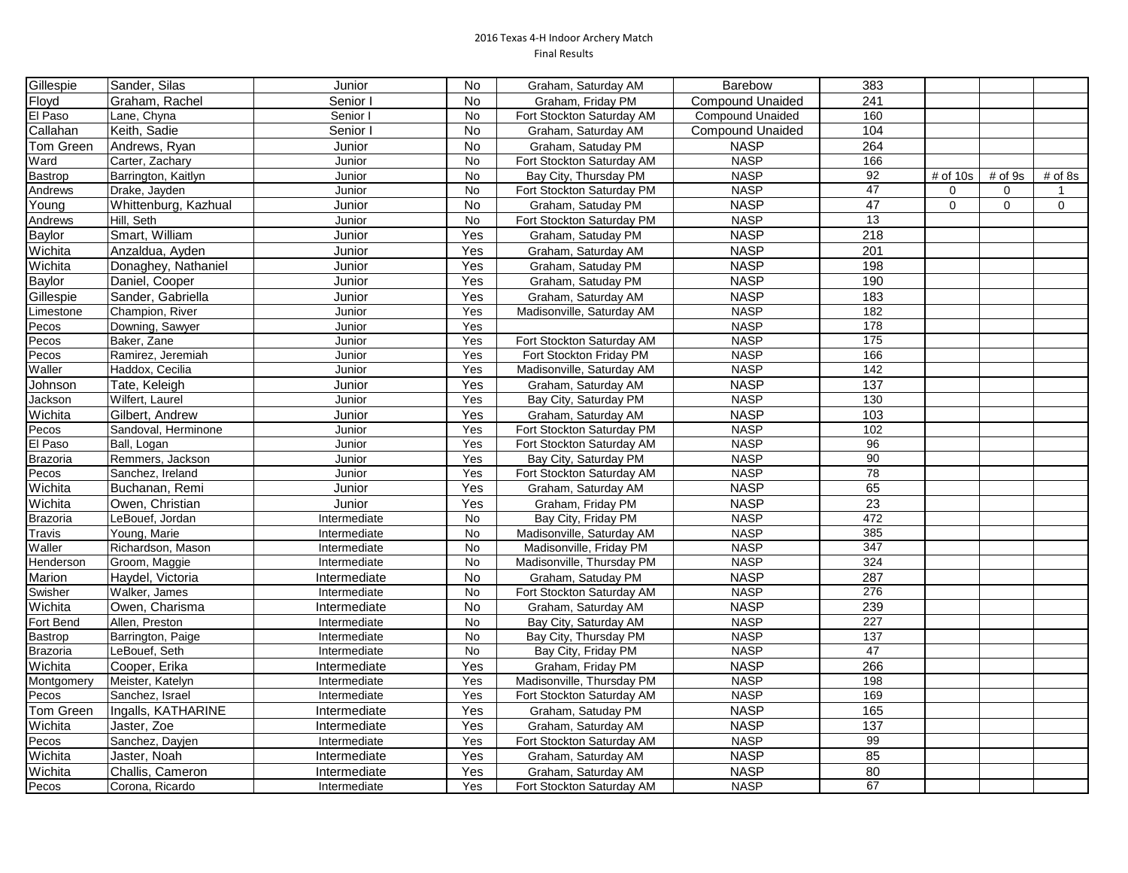| Gillespie       | Sander, Silas        | Junior       | No        | Graham, Saturday AM       | Barebow                 | 383              |             |         |           |
|-----------------|----------------------|--------------|-----------|---------------------------|-------------------------|------------------|-------------|---------|-----------|
| Floyd           | Graham, Rachel       | Senior I     | No        | Graham, Friday PM         | <b>Compound Unaided</b> | 241              |             |         |           |
| El Paso         | Lane, Chyna          | Senior I     | No        | Fort Stockton Saturday AM | Compound Unaided        | 160              |             |         |           |
| Callahan        | Keith, Sadie         | Senior I     | No        | Graham, Saturday AM       | <b>Compound Unaided</b> | 104              |             |         |           |
| Tom Green       | Andrews, Ryan        | Junior       | <b>No</b> | Graham, Satuday PM        | <b>NASP</b>             | 264              |             |         |           |
| Ward            | Carter, Zachary      | Junior       | <b>No</b> | Fort Stockton Saturday AM | <b>NASP</b>             | 166              |             |         |           |
| Bastrop         | Barrington, Kaitlyn  | Junior       | <b>No</b> | Bay City, Thursday PM     | <b>NASP</b>             | 92               | $#$ of 10s  | # of 9s | $#$ of 8s |
| Andrews         | Drake, Jayden        | Junior       | <b>No</b> | Fort Stockton Saturday PM | <b>NASP</b>             | 47               | $\mathbf 0$ | 0       |           |
| Young           | Whittenburg, Kazhual | Junior       | No        | Graham, Satuday PM        | <b>NASP</b>             | $\overline{47}$  | $\mathbf 0$ | 0       | 0         |
| Andrews         | Hill, Seth           | Junior       | No        | Fort Stockton Saturday PM | <b>NASP</b>             | 13               |             |         |           |
| Baylor          | Smart, William       | Junior       | Yes       | Graham, Satuday PM        | <b>NASP</b>             | $\overline{218}$ |             |         |           |
| Wichita         | Anzaldua, Ayden      | Junior       | Yes       | Graham, Saturday AM       | <b>NASP</b>             | 201              |             |         |           |
| Wichita         | Donaghey, Nathaniel  | Junior       | Yes       | Graham, Satuday PM        | <b>NASP</b>             | 198              |             |         |           |
| <b>Baylor</b>   | Daniel, Cooper       | Junior       | Yes       | Graham, Satuday PM        | <b>NASP</b>             | 190              |             |         |           |
| Gillespie       | Sander, Gabriella    | Junior       | Yes       | Graham, Saturday AM       | <b>NASP</b>             | 183              |             |         |           |
| Limestone       | Champion, River      | Junior       | Yes       | Madisonville, Saturday AM | <b>NASP</b>             | 182              |             |         |           |
| Pecos           | Downing, Sawyer      | Junior       | Yes       |                           | <b>NASP</b>             | 178              |             |         |           |
| Pecos           | Baker, Zane          | Junior       | Yes       | Fort Stockton Saturday AM | <b>NASP</b>             | 175              |             |         |           |
| Pecos           | Ramirez, Jeremiah    | Junior       | Yes       | Fort Stockton Friday PM   | <b>NASP</b>             | 166              |             |         |           |
| Waller          | Haddox, Cecilia      | Junior       | Yes       | Madisonville, Saturday AM | <b>NASP</b>             | 142              |             |         |           |
| Johnson         | Tate, Keleigh        | Junior       | Yes       | Graham, Saturday AM       | <b>NASP</b>             | 137              |             |         |           |
| Jackson         | Wilfert, Laurel      | Junior       | Yes       | Bay City, Saturday PM     | <b>NASP</b>             | 130              |             |         |           |
| Wichita         | Gilbert, Andrew      | Junior       | Yes       | Graham, Saturday AM       | <b>NASP</b>             | 103              |             |         |           |
| Pecos           | Sandoval, Herminone  | Junior       | Yes       | Fort Stockton Saturday PM | <b>NASP</b>             | 102              |             |         |           |
| El Paso         | Ball, Logan          | Junior       | Yes       | Fort Stockton Saturday AM | <b>NASP</b>             | 96               |             |         |           |
| <b>Brazoria</b> | Remmers, Jackson     | Junior       | Yes       | Bay City, Saturday PM     | <b>NASP</b>             | 90               |             |         |           |
| Pecos           | Sanchez, Ireland     | Junior       | Yes       | Fort Stockton Saturday AM | <b>NASP</b>             | 78               |             |         |           |
| Wichita         | Buchanan, Remi       | Junior       | Yes       | Graham, Saturday AM       | <b>NASP</b>             | 65               |             |         |           |
| Wichita         | Owen, Christian      | Junior       | Yes       | Graham, Friday PM         | <b>NASP</b>             | $\overline{23}$  |             |         |           |
| Brazoria        | LeBouef, Jordan      | Intermediate | No        | Bay City, Friday PM       | <b>NASP</b>             | 472              |             |         |           |
| Travis          | Young, Marie         | Intermediate | No        | Madisonville, Saturday AM | <b>NASP</b>             | 385              |             |         |           |
| Waller          | Richardson, Mason    | Intermediate | No        | Madisonville, Friday PM   | <b>NASP</b>             | 347              |             |         |           |
| Henderson       | Groom, Maggie        | Intermediate | No        | Madisonville, Thursday PM | <b>NASP</b>             | 324              |             |         |           |
| Marion          | Haydel, Victoria     | Intermediate | No        | Graham, Satuday PM        | <b>NASP</b>             | 287              |             |         |           |
| Swisher         | Walker, James        | Intermediate | No        | Fort Stockton Saturday AM | <b>NASP</b>             | 276              |             |         |           |
| Wichita         | Owen, Charisma       | Intermediate | <b>No</b> | Graham, Saturday AM       | <b>NASP</b>             | 239              |             |         |           |
| Fort Bend       | Allen, Preston       | Intermediate | <b>No</b> | Bay City, Saturday AM     | <b>NASP</b>             | 227              |             |         |           |
| Bastrop         | Barrington, Paige    | Intermediate | <b>No</b> | Bay City, Thursday PM     | <b>NASP</b>             | 137              |             |         |           |
| Brazoria        | LeBouef, Seth        | Intermediate | No        | Bay City, Friday PM       | <b>NASP</b>             | 47               |             |         |           |
| Wichita         | Cooper, Erika        | Intermediate | Yes       | Graham, Friday PM         | <b>NASP</b>             | 266              |             |         |           |
| Montgomery      | Meister, Katelyn     | Intermediate | Yes       | Madisonville, Thursday PM | <b>NASP</b>             | 198              |             |         |           |
| Pecos           | Sanchez, Israel      | Intermediate | Yes       | Fort Stockton Saturday AM | <b>NASP</b>             | 169              |             |         |           |
| Tom Green       | Ingalls, KATHARINE   | Intermediate | Yes       | Graham, Satuday PM        | <b>NASP</b>             | 165              |             |         |           |
| Wichita         | Jaster, Zoe          | Intermediate | Yes       | Graham, Saturday AM       | <b>NASP</b>             | 137              |             |         |           |
| Pecos           | Sanchez, Dayjen      | Intermediate | Yes       | Fort Stockton Saturday AM | <b>NASP</b>             | 99               |             |         |           |
| Wichita         | Jaster, Noah         | Intermediate | Yes       | Graham, Saturday AM       | <b>NASP</b>             | 85               |             |         |           |
| Wichita         | Challis, Cameron     | Intermediate | Yes       | Graham. Saturdav AM       | <b>NASP</b>             | 80               |             |         |           |
| Pecos           | Corona, Ricardo      | Intermediate | Yes       | Fort Stockton Saturday AM | <b>NASP</b>             | 67               |             |         |           |